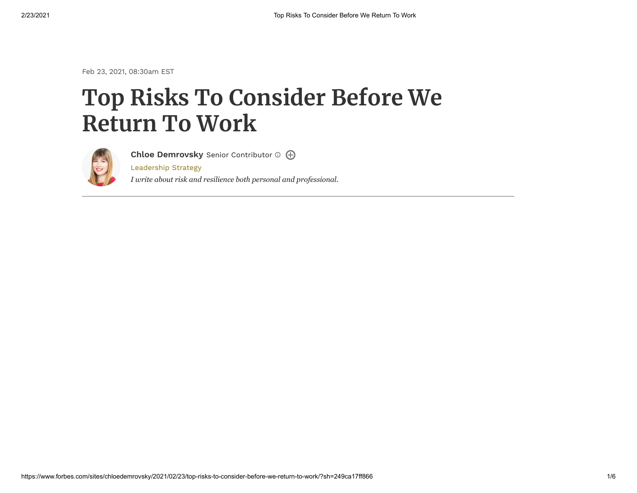Feb 23, 2021, 08:30am EST

# **Top Risks To Consider Before We Return To Work**



**Chloe [Demrovsky](https://www.forbes.com/sites/chloedemrovsky/)** Senior Contributor

[Leadership](https://www.forbes.com/leadership-strategy) Strategy

*I write about risk and resilience both personal and professional.*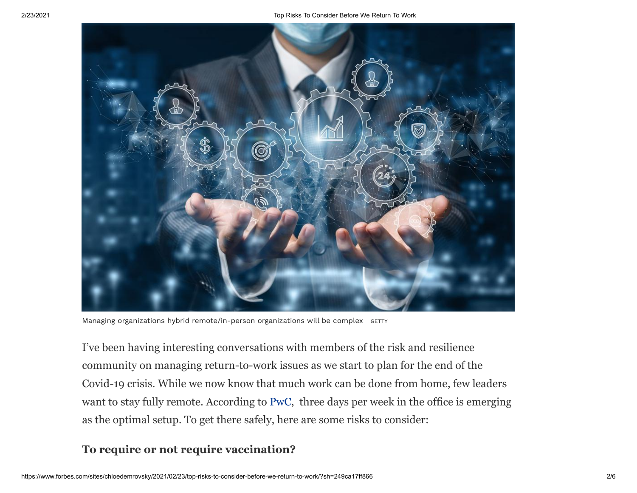

Managing organizations hybrid remote/in-person organizations will be complex GETTY

I've been having interesting conversations with members of the risk and resilience community on managing return-to-work issues as we start to plan for the end of the Covid-19 crisis. While we now know that much work can be done from home, few leaders want to stay fully remote. According to [PwC](https://www.pwc.com/us/en/library/covid-19/us-remote-work-survey.html), three days per week in the office is emerging as the optimal setup. To get there safely, here are some risks to consider:

## **To require or not require vaccination?**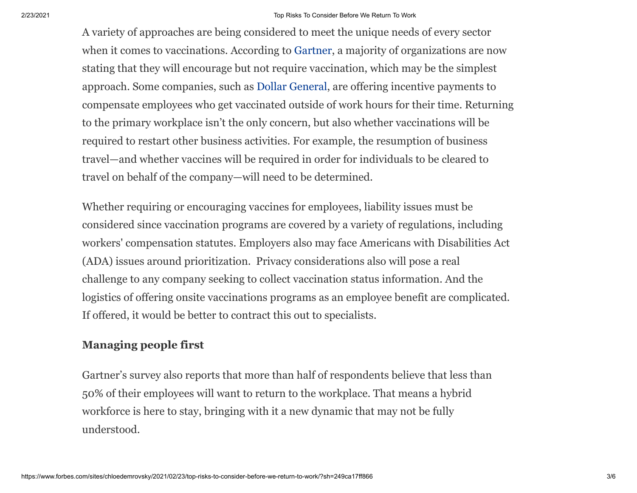#### 2/23/2021 Top Risks To Consider Before We Return To Work

A variety of approaches are being considered to meet the unique needs of every sector when it comes to vaccinations. According to [Gartner,](https://www.gartner.com/en/newsroom/press-releases/2021-02-17-gartner-says-most-organizations-will-encourage-but-not-require-employee-vaccination-2) a majority of organizations are now stating that they will encourage but not require vaccination, which may be the simplest approach. Some companies, such as [Dollar General,](https://www.shrm.org/resourcesandtools/legal-and-compliance/employment-law/pages/coronavirus-employer-administration-vaccines.aspx) are offering incentive payments to compensate employees who get vaccinated outside of work hours for their time. Returning to the primary workplace isn't the only concern, but also whether vaccinations will be required to restart other business activities. For example, the resumption of business travel—and whether vaccines will be required in order for individuals to be cleared to travel on behalf of the company—will need to be determined.

Whether requiring or encouraging vaccines for employees, liability issues must be considered since vaccination programs are covered by a variety of regulations, including workers' compensation statutes. Employers also may face Americans with Disabilities Act (ADA) issues around prioritization. Privacy considerations also will pose a real challenge to any company seeking to collect vaccination status information. And the logistics of offering onsite vaccinations programs as an employee benefit are complicated. If offered, it would be better to contract this out to specialists.

## **Managing people first**

Gartner's survey also reports that more than half of respondents believe that less than 50% of their employees will want to return to the workplace. That means a hybrid workforce is here to stay, bringing with it a new dynamic that may not be fully understood.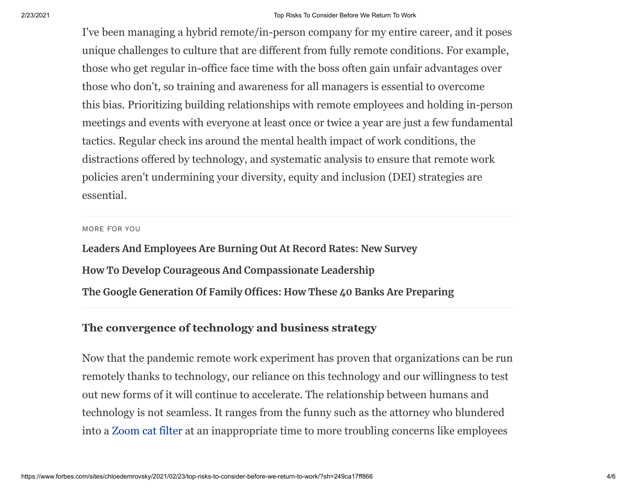I've been managing a hybrid remote/in-person company for my entire career, and it poses unique challenges to culture that are different from fully remote conditions. For example, those who get regular in-office face time with the boss often gain unfair advantages over those who don't, so training and awareness for all managers is essential to overcome this bias. Prioritizing building relationships with remote employees and holding in-person meetings and events with everyone at least once or twice a year are just a few fundamental tactics. Regular check ins around the mental health impact of work conditions, the distractions offered by technology, and systematic analysis to ensure that remote work policies aren't undermining your diversity, equity and inclusion (DEI) strategies are essential.

#### MORE FOR YOU

**[Leaders And Employees Are Burning Out At Record Rates: New Survey](https://www.forbes.com/sites/edwardsegal/2021/02/17/leaders-and-employees-are-burning-out-at-record-rates-new-survey/) [How To Develop Courageous And Compassionate Leadership](https://www.forbes.com/sites/benjaminlaker/2021/02/22/this-is-what-leadership-in-2021-looks-like/) [The Google Generation Of Family Offices: How These 40 Banks Are Preparing](https://www.forbes.com/sites/francoisbotha/2021/02/22/the-google-generation-of-family-offices-how-these-40-banks-are-preparing/)**

### **The convergence of technology and business strategy**

Now that the pandemic remote work experiment has proven that organizations can be run remotely thanks to technology, our reliance on this technology and our willingness to test out new forms of it will continue to accelerate. The relationship between humans and technology is not seamless. It ranges from the funny such as the attorney who blundered into a [Zoom cat filter](https://www.youtube.com/watch?v=9f9eDBpnkaU) at an inappropriate time to more troubling concerns like employees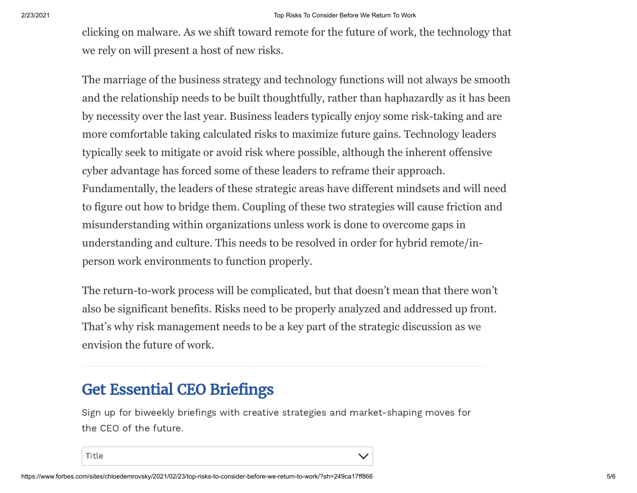2/23/2021 Top Risks To Consider Before We Return To Work

clicking on malware. As we shift toward remote for the future of work, the technology that we rely on will present a host of new risks.

The marriage of the business strategy and technology functions will not always be smooth and the relationship needs to be built thoughtfully, rather than haphazardly as it has been by necessity over the last year. Business leaders typically enjoy some risk-taking and are more comfortable taking calculated risks to maximize future gains. Technology leaders typically seek to mitigate or avoid risk where possible, although the inherent offensive cyber advantage has forced some of these leaders to reframe their approach. Fundamentally, the leaders of these strategic areas have different mindsets and will need to figure out how to bridge them. Coupling of these two strategies will cause friction and misunderstanding within organizations unless work is done to overcome gaps in understanding and culture. This needs to be resolved in order for hybrid remote/inperson work environments to function properly.

The return-to-work process will be complicated, but that doesn't mean that there won't also be significant benefits. Risks need to be properly analyzed and addressed up front. That's why risk management needs to be a key part of the strategic discussion as we envision the future of work.

## Get Essential CEO Briefings

Sign up for biweekly briefings with creative strategies and market-shaping moves for the CEO of the future.

Title

 $\checkmark$